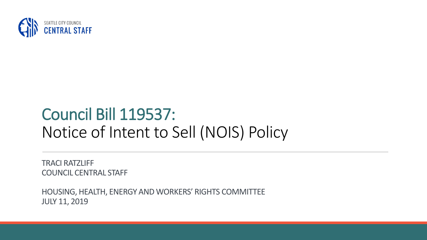

## Council Bill 119537: Notice of Intent to Sell (NOIS) Policy

TRACI RATZLIFF COUNCIL CENTRAL STAFF

HOUSING, HEALTH, ENERGY AND WORKERS' RIGHTS COMMITTEE JULY 11, 2019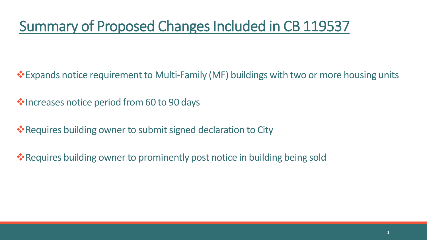### Summary of Proposed Changes Included in CB 119537

**Expands notice requirement to Multi-Family (MF) buildings with two or more housing units** 

 $\cdot$  Increases notice period from 60 to 90 days

**\*** Requires building owner to submit signed declaration to City

**Example 18 Features building owner to prominently post notice in building being sold**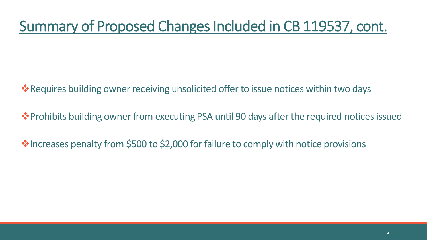#### Summary of Proposed Changes Included in CB 119537, cont.

**\*** Requires building owner receiving unsolicited offer to issue notices within two days

**\*** Prohibits building owner from executing PSA until 90 days after the required notices issued

**Increases penalty from \$500 to \$2,000 for failure to comply with notice provisions**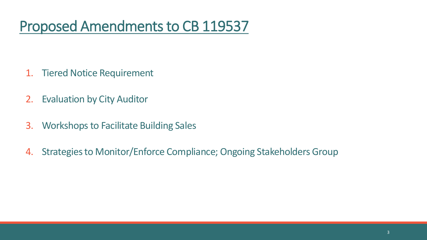#### Proposed Amendments to CB 119537

- 1. Tiered Notice Requirement
- 2. Evaluation by City Auditor
- 3. Workshops to Facilitate Building Sales
- 4. Strategies to Monitor/Enforce Compliance; Ongoing Stakeholders Group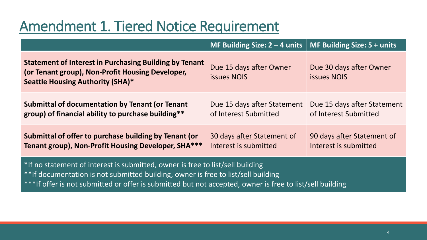#### Amendment 1. Tiered Notice Requirement

|                                                                                                                                                                                                                                                                                 | MF Building Size: $2 - 4$ units   MF Building Size: $5 +$ units |                                                      |
|---------------------------------------------------------------------------------------------------------------------------------------------------------------------------------------------------------------------------------------------------------------------------------|-----------------------------------------------------------------|------------------------------------------------------|
| <b>Statement of Interest in Purchasing Building by Tenant</b><br>(or Tenant group), Non-Profit Housing Developer,<br><b>Seattle Housing Authority (SHA)*</b>                                                                                                                    | Due 15 days after Owner<br><b>issues NOIS</b>                   | Due 30 days after Owner<br><b>issues NOIS</b>        |
| <b>Submittal of documentation by Tenant (or Tenant</b><br>group) of financial ability to purchase building**                                                                                                                                                                    | Due 15 days after Statement<br>of Interest Submitted            | Due 15 days after Statement<br>of Interest Submitted |
| Submittal of offer to purchase building by Tenant (or<br>Tenant group), Non-Profit Housing Developer, SHA***                                                                                                                                                                    | 30 days after Statement of<br>Interest is submitted             | 90 days after Statement of<br>Interest is submitted  |
| *If no statement of interest is submitted, owner is free to list/sell building<br>**If documentation is not submitted building, owner is free to list/sell building<br>***If offer is not submitted or offer is submitted but not accepted, owner is free to list/sell building |                                                                 |                                                      |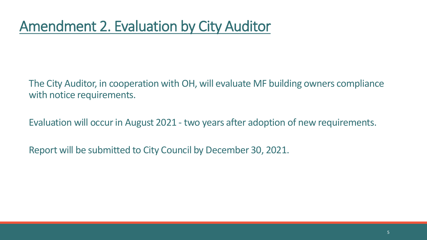The City Auditor, in cooperation with OH, will evaluate MF building owners compliance with notice requirements.

Evaluation will occur in August 2021 - two years after adoption of new requirements.

Report will be submitted to City Council by December 30, 2021.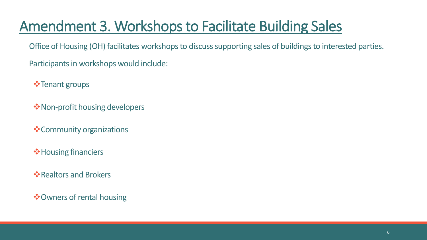## Amendment 3. Workshops to Facilitate Building Sales

Office of Housing (OH) facilitates workshops to discuss supporting sales of buildings to interested parties.

Participants in workshops would include:

- **Tenant groups**
- **W**Non-profit housing developers
- \*Community organizations
- $\diamond$  **Housing financiers**
- $\dots$ **Realtors and Brokers**
- $\dots$  Owners of rental housing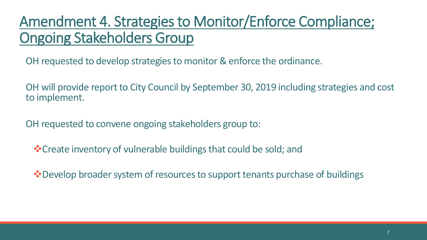#### Amendment 4. Strategies to Monitor/Enforce Compliance; Ongoing Stakeholders Group

OH requested to develop strategies to monitor & enforce the ordinance.

OH will provide report to City Council by September 30, 2019 including strategies and cost to implement.

OH requested to convene ongoing stakeholders group to:

Create inventory of vulnerable buildings that could be sold; and

**\*** Develop broader system of resources to support tenants purchase of buildings